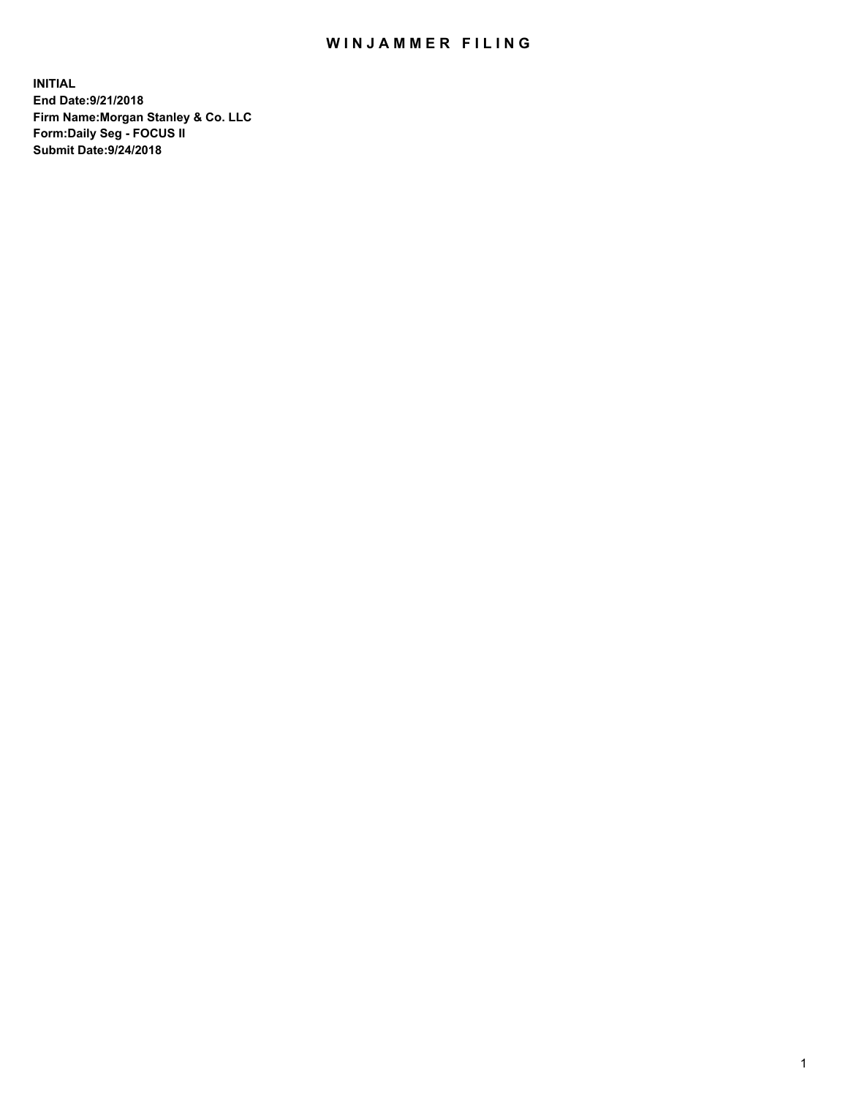## WIN JAMMER FILING

**INITIAL End Date:9/21/2018 Firm Name:Morgan Stanley & Co. LLC Form:Daily Seg - FOCUS II Submit Date:9/24/2018**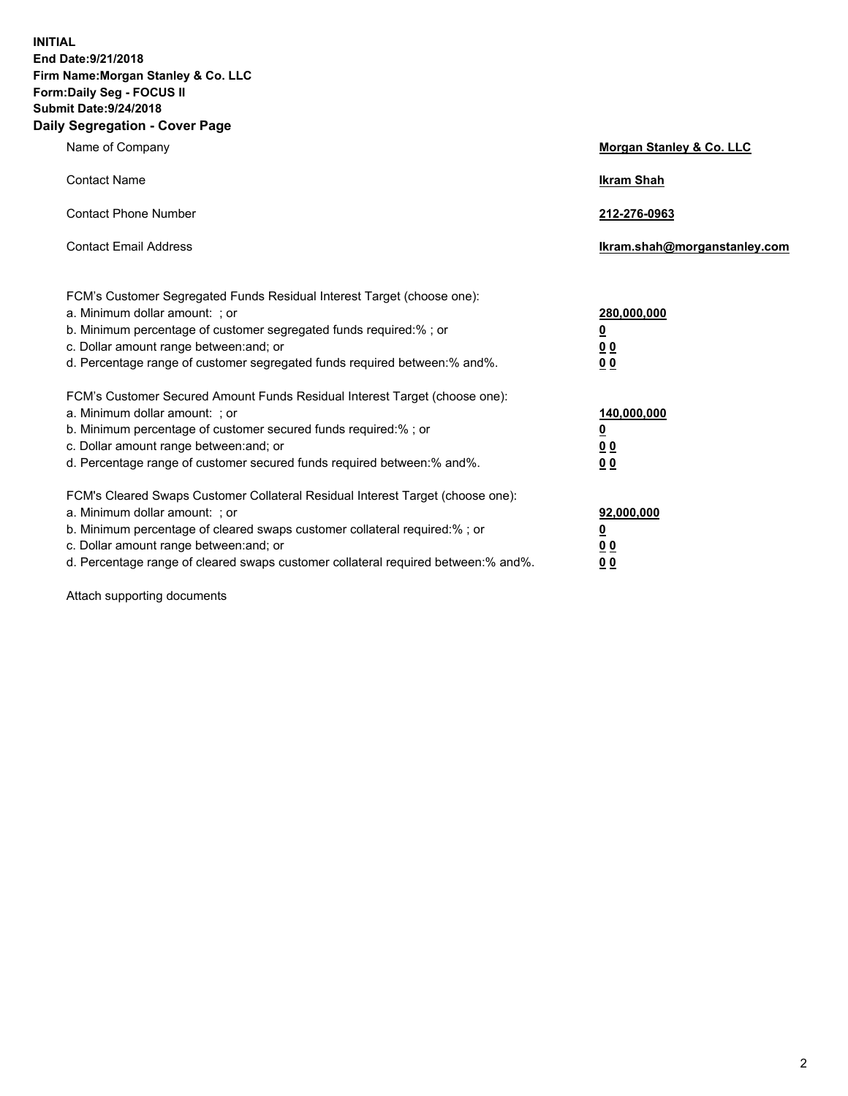**INITIAL End Date:9/21/2018 Firm Name:Morgan Stanley & Co. LLC Form:Daily Seg - FOCUS II Submit Date:9/24/2018 Daily Segregation - Cover Page**

| Name of Company                                                                                                                                                                                                                                                                                                                | Morgan Stanley & Co. LLC                               |
|--------------------------------------------------------------------------------------------------------------------------------------------------------------------------------------------------------------------------------------------------------------------------------------------------------------------------------|--------------------------------------------------------|
| <b>Contact Name</b>                                                                                                                                                                                                                                                                                                            | <b>Ikram Shah</b>                                      |
| <b>Contact Phone Number</b>                                                                                                                                                                                                                                                                                                    | 212-276-0963                                           |
| <b>Contact Email Address</b>                                                                                                                                                                                                                                                                                                   | lkram.shah@morganstanley.com                           |
| FCM's Customer Segregated Funds Residual Interest Target (choose one):<br>a. Minimum dollar amount: ; or<br>b. Minimum percentage of customer segregated funds required:% ; or<br>c. Dollar amount range between: and; or<br>d. Percentage range of customer segregated funds required between:% and%.                         | 280,000,000<br><u>0</u><br><u>0 0</u><br>0 Q           |
| FCM's Customer Secured Amount Funds Residual Interest Target (choose one):<br>a. Minimum dollar amount: ; or<br>b. Minimum percentage of customer secured funds required:%; or<br>c. Dollar amount range between: and; or<br>d. Percentage range of customer secured funds required between:% and%.                            | 140,000,000<br><u>0</u><br><u>00</u><br>0 <sub>0</sub> |
| FCM's Cleared Swaps Customer Collateral Residual Interest Target (choose one):<br>a. Minimum dollar amount: ; or<br>b. Minimum percentage of cleared swaps customer collateral required:% ; or<br>c. Dollar amount range between: and; or<br>d. Percentage range of cleared swaps customer collateral required between:% and%. | 92,000,000<br><u>0</u><br><u>00</u><br>0 <sup>0</sup>  |

Attach supporting documents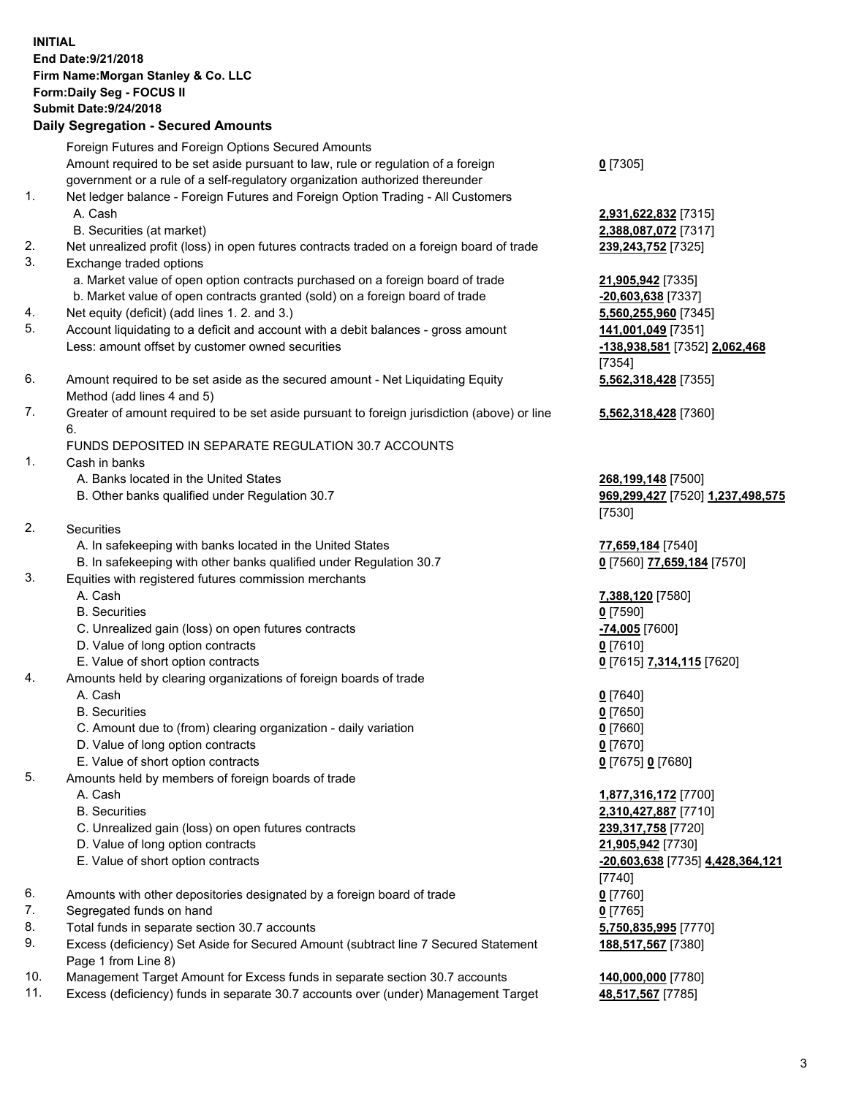## **INITIAL End Date:9/21/2018 Firm Name:Morgan Stanley & Co. LLC Form:Daily Seg - FOCUS II Submit Date:9/24/2018 Daily Segregation - Secured Amounts**

Foreign Futures and Foreign Options Secured Amounts Amount required to be set aside pursuant to law, rule or regulation of a foreign government or a rule of a self-regulatory organization authorized thereunder

- 1. Net ledger balance Foreign Futures and Foreign Option Trading All Customers A. Cash **2,931,622,832** [7315]
	- B. Securities (at market) **2,388,087,072** [7317]
- 2. Net unrealized profit (loss) in open futures contracts traded on a foreign board of trade **239,243,752** [7325]
- 3. Exchange traded options
	- a. Market value of open option contracts purchased on a foreign board of trade **21,905,942** [7335]
	- b. Market value of open contracts granted (sold) on a foreign board of trade **-20,603,638** [7337]
- 4. Net equity (deficit) (add lines 1. 2. and 3.) **5,560,255,960** [7345]
- 5. Account liquidating to a deficit and account with a debit balances gross amount **141,001,049** [7351] Less: amount offset by customer owned securities **-138,938,581** [7352] **2,062,468**
- 6. Amount required to be set aside as the secured amount Net Liquidating Equity Method (add lines 4 and 5)
- 7. Greater of amount required to be set aside pursuant to foreign jurisdiction (above) or line 6.

## FUNDS DEPOSITED IN SEPARATE REGULATION 30.7 ACCOUNTS

- 1. Cash in banks
	- A. Banks located in the United States **268,199,148** [7500]
	- B. Other banks qualified under Regulation 30.7 **969,299,427** [7520] **1,237,498,575**
- 2. Securities
	- A. In safekeeping with banks located in the United States **77,659,184** [7540]
	- B. In safekeeping with other banks qualified under Regulation 30.7 **0** [7560] **77,659,184** [7570]
- 3. Equities with registered futures commission merchants
	-
	- B. Securities **0** [7590]
	- C. Unrealized gain (loss) on open futures contracts **-74,005** [7600]
	- D. Value of long option contracts **0** [7610]
- E. Value of short option contracts **0** [7615] **7,314,115** [7620]
- 4. Amounts held by clearing organizations of foreign boards of trade
	- A. Cash **0** [7640]
	- B. Securities **0** [7650]
	- C. Amount due to (from) clearing organization daily variation **0** [7660]
	- D. Value of long option contracts **0** [7670]
	- E. Value of short option contracts **0** [7675] **0** [7680]
- 5. Amounts held by members of foreign boards of trade
	-
	-
	- C. Unrealized gain (loss) on open futures contracts **239,317,758** [7720]
	- D. Value of long option contracts **21,905,942** [7730]
	- E. Value of short option contracts **-20,603,638** [7735] **4,428,364,121**
- 6. Amounts with other depositories designated by a foreign board of trade **0** [7760]
- 7. Segregated funds on hand **0** [7765]
- 8. Total funds in separate section 30.7 accounts **5,750,835,995** [7770]
- 9. Excess (deficiency) Set Aside for Secured Amount (subtract line 7 Secured Statement Page 1 from Line 8)
- 10. Management Target Amount for Excess funds in separate section 30.7 accounts **140,000,000** [7780]
- 11. Excess (deficiency) funds in separate 30.7 accounts over (under) Management Target **48,517,567** [7785]

**0** [7305]

[7354] **5,562,318,428** [7355]

**5,562,318,428** [7360]

[7530]

A. Cash **7,388,120** [7580]

 A. Cash **1,877,316,172** [7700] B. Securities **2,310,427,887** [7710] [7740] **188,517,567** [7380]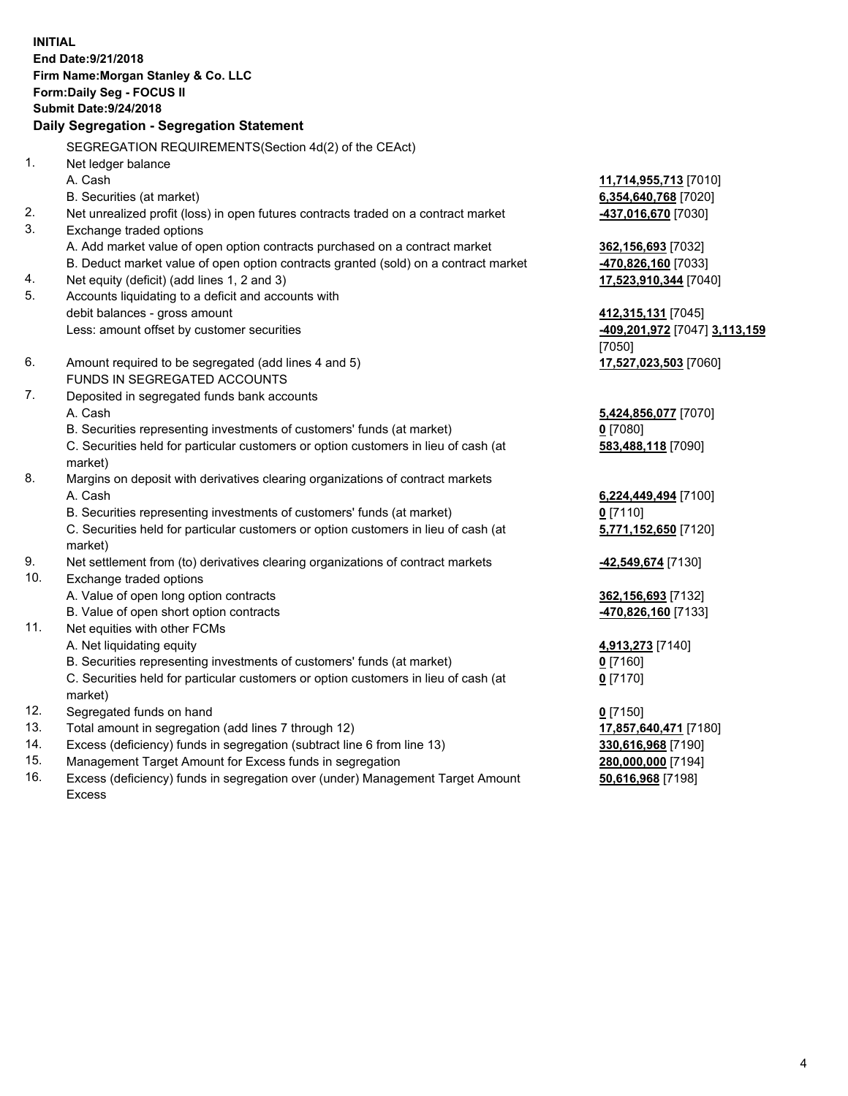**INITIAL End Date:9/21/2018 Firm Name:Morgan Stanley & Co. LLC Form:Daily Seg - FOCUS II Submit Date:9/24/2018 Daily Segregation - Segregation Statement** SEGREGATION REQUIREMENTS(Section 4d(2) of the CEAct) 1. Net ledger balance A. Cash **11,714,955,713** [7010] B. Securities (at market) **6,354,640,768** [7020] 2. Net unrealized profit (loss) in open futures contracts traded on a contract market **-437,016,670** [7030] 3. Exchange traded options A. Add market value of open option contracts purchased on a contract market **362,156,693** [7032] B. Deduct market value of open option contracts granted (sold) on a contract market **-470,826,160** [7033] 4. Net equity (deficit) (add lines 1, 2 and 3) **17,523,910,344** [7040] 5. Accounts liquidating to a deficit and accounts with debit balances - gross amount **412,315,131** [7045] Less: amount offset by customer securities **-409,201,972** [7047] **3,113,159** [7050] 6. Amount required to be segregated (add lines 4 and 5) **17,527,023,503** [7060] FUNDS IN SEGREGATED ACCOUNTS 7. Deposited in segregated funds bank accounts A. Cash **5,424,856,077** [7070] B. Securities representing investments of customers' funds (at market) **0** [7080] C. Securities held for particular customers or option customers in lieu of cash (at market) **583,488,118** [7090] 8. Margins on deposit with derivatives clearing organizations of contract markets A. Cash **6,224,449,494** [7100] B. Securities representing investments of customers' funds (at market) **0** [7110] C. Securities held for particular customers or option customers in lieu of cash (at market) **5,771,152,650** [7120] 9. Net settlement from (to) derivatives clearing organizations of contract markets **-42,549,674** [7130] 10. Exchange traded options A. Value of open long option contracts **362,156,693** [7132] B. Value of open short option contracts **-470,826,160** [7133] 11. Net equities with other FCMs A. Net liquidating equity **4,913,273** [7140] B. Securities representing investments of customers' funds (at market) **0** [7160] C. Securities held for particular customers or option customers in lieu of cash (at market) **0** [7170] 12. Segregated funds on hand **0** [7150] 13. Total amount in segregation (add lines 7 through 12) **17,857,640,471** [7180] 14. Excess (deficiency) funds in segregation (subtract line 6 from line 13) **330,616,968** [7190]

- 15. Management Target Amount for Excess funds in segregation **280,000,000** [7194]
- 16. Excess (deficiency) funds in segregation over (under) Management Target Amount Excess

**50,616,968** [7198]